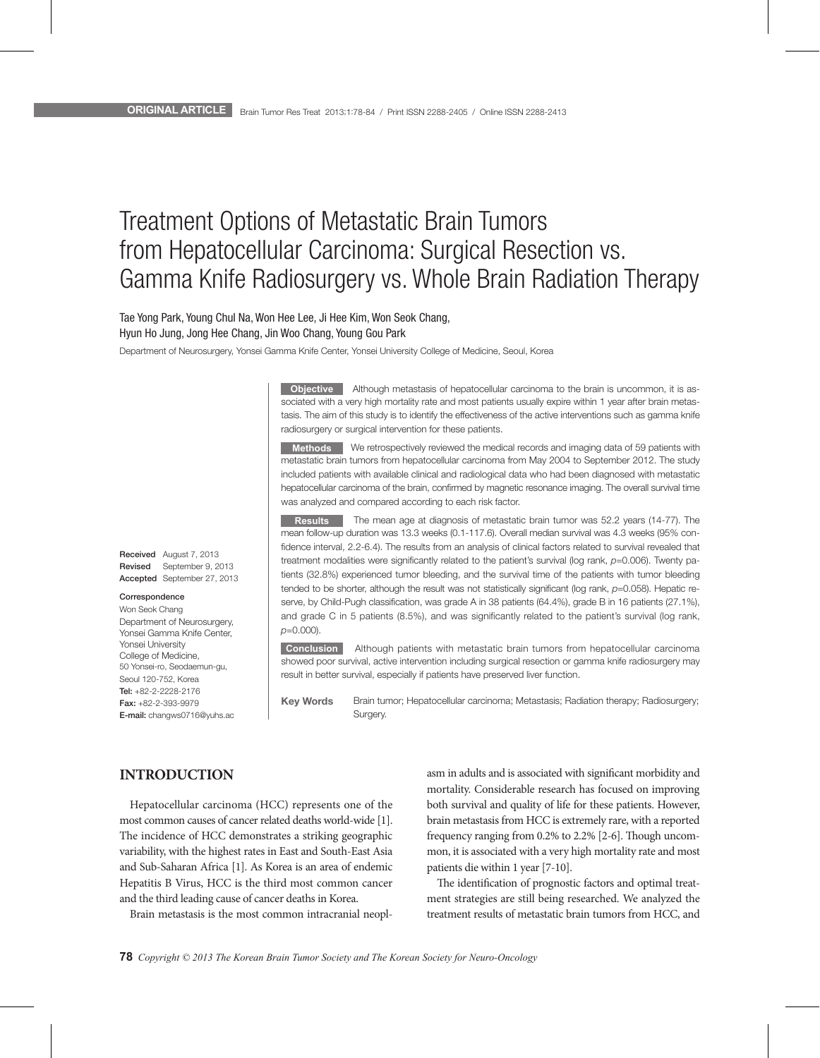# Treatment Options of Metastatic Brain Tumors from Hepatocellular Carcinoma: Surgical Resection vs. Gamma Knife Radiosurgery vs. Whole Brain Radiation Therapy

Tae Yong Park, Young Chul Na, Won Hee Lee, Ji Hee Kim, Won Seok Chang,

Hyun Ho Jung, Jong Hee Chang, Jin Woo Chang, Young Gou Park

Department of Neurosurgery, Yonsei Gamma Knife Center, Yonsei University College of Medicine, Seoul, Korea

**Objective** Although metastasis of hepatocellular carcinoma to the brain is uncommon, it is associated with a very high mortality rate and most patients usually expire within 1 year after brain metastasis. The aim of this study is to identify the effectiveness of the active interventions such as gamma knife radiosurgery or surgical intervention for these patients.

**Methods** We retrospectively reviewed the medical records and imaging data of 59 patients with metastatic brain tumors from hepatocellular carcinoma from May 2004 to September 2012. The study included patients with available clinical and radiological data who had been diagnosed with metastatic hepatocellular carcinoma of the brain, confirmed by magnetic resonance imaging. The overall survival time was analyzed and compared according to each risk factor.

**Results** The mean age at diagnosis of metastatic brain tumor was 52.2 years (14-77). The mean follow-up duration was 13.3 weeks (0.1-117.6). Overall median survival was 4.3 weeks (95% confidence interval, 2.2-6.4). The results from an analysis of clinical factors related to survival revealed that treatment modalities were significantly related to the patient's survival (log rank, *p*=0.006). Twenty patients (32.8%) experienced tumor bleeding, and the survival time of the patients with tumor bleeding tended to be shorter, although the result was not statistically significant (log rank, *p*=0.058). Hepatic reserve, by Child-Pugh classification, was grade A in 38 patients (64.4%), grade B in 16 patients (27.1%), and grade C in 5 patients (8.5%), and was significantly related to the patient's survival (log rank, *p*=0.000).

**Conclusion** Although patients with metastatic brain tumors from hepatocellular carcinoma showed poor survival, active intervention including surgical resection or gamma knife radiosurgery may result in better survival, especially if patients have preserved liver function.

Key Words Brain tumor; Hepatocellular carcinoma; Metastasis; Radiation therapy; Radiosurgery; Surgery.

# **INTRODUCTION**

Received August 7, 2013 Revised September 9, 2013 Accepted September 27, 2013

Department of Neurosurgery, Yonsei Gamma Knife Center,

Correspondence Won Seok Chang

Yonsei University College of Medicine, 50 Yonsei-ro, Seodaemun-gu, Seoul 120-752, Korea Tel: +82-2-2228-2176 Fax: +82-2-393-9979 E-mail: changws0716@yuhs.ac

Hepatocellular carcinoma (HCC) represents one of the most common causes of cancer related deaths world-wide [1]. The incidence of HCC demonstrates a striking geographic variability, with the highest rates in East and South-East Asia and Sub-Saharan Africa [1]. As Korea is an area of endemic Hepatitis B Virus, HCC is the third most common cancer and the third leading cause of cancer deaths in Korea.

Brain metastasis is the most common intracranial neopl-

asm in adults and is associated with significant morbidity and mortality. Considerable research has focused on improving both survival and quality of life for these patients. However, brain metastasis from HCC is extremely rare, with a reported frequency ranging from 0.2% to 2.2% [2-6]. Though uncommon, it is associated with a very high mortality rate and most patients die within 1 year [7-10].

The identification of prognostic factors and optimal treatment strategies are still being researched. We analyzed the treatment results of metastatic brain tumors from HCC, and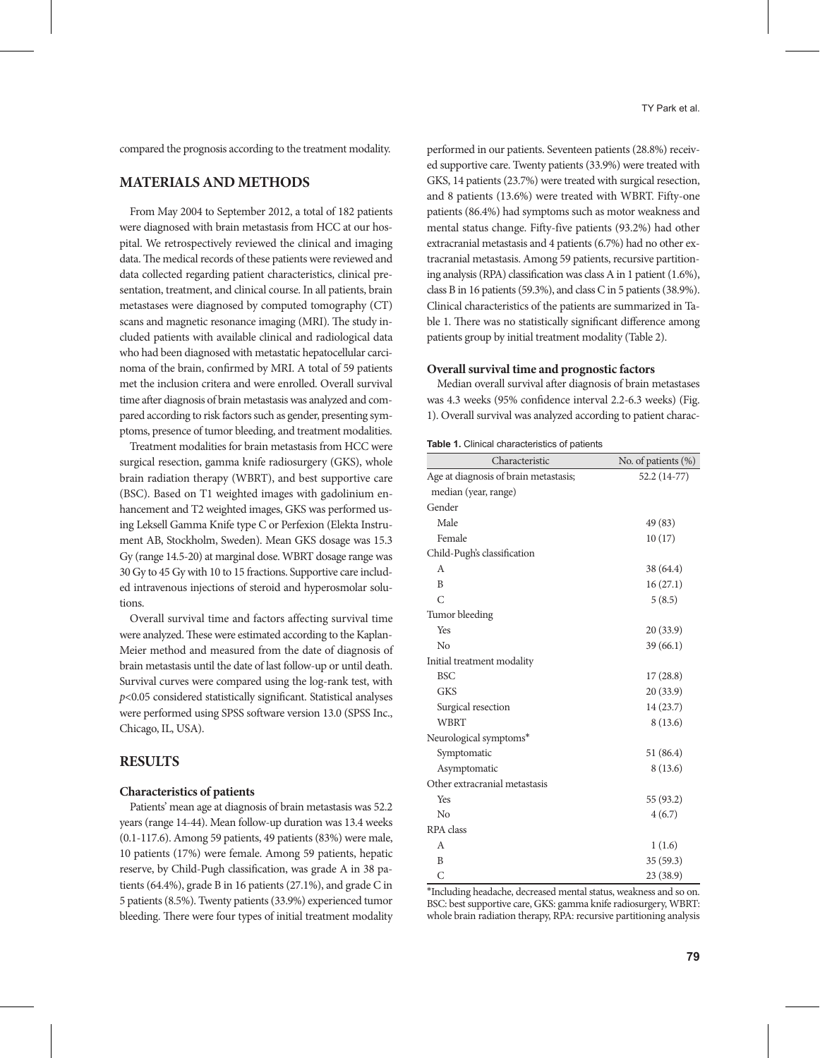compared the prognosis according to the treatment modality.

# **MATERIALS AND METHODS**

From May 2004 to September 2012, a total of 182 patients were diagnosed with brain metastasis from HCC at our hospital. We retrospectively reviewed the clinical and imaging data. The medical records of these patients were reviewed and data collected regarding patient characteristics, clinical presentation, treatment, and clinical course. In all patients, brain metastases were diagnosed by computed tomography (CT) scans and magnetic resonance imaging (MRI). The study included patients with available clinical and radiological data who had been diagnosed with metastatic hepatocellular carcinoma of the brain, confirmed by MRI. A total of 59 patients met the inclusion critera and were enrolled. Overall survival time after diagnosis of brain metastasis was analyzed and compared according to risk factors such as gender, presenting symptoms, presence of tumor bleeding, and treatment modalities.

Treatment modalities for brain metastasis from HCC were surgical resection, gamma knife radiosurgery (GKS), whole brain radiation therapy (WBRT), and best supportive care (BSC). Based on T1 weighted images with gadolinium enhancement and T2 weighted images, GKS was performed using Leksell Gamma Knife type C or Perfexion (Elekta Instrument AB, Stockholm, Sweden). Mean GKS dosage was 15.3 Gy (range 14.5-20) at marginal dose. WBRT dosage range was 30 Gy to 45 Gy with 10 to 15 fractions. Supportive care included intravenous injections of steroid and hyperosmolar solutions.

Overall survival time and factors affecting survival time were analyzed. These were estimated according to the Kaplan-Meier method and measured from the date of diagnosis of brain metastasis until the date of last follow-up or until death. Survival curves were compared using the log-rank test, with *p*<0.05 considered statistically significant. Statistical analyses were performed using SPSS software version 13.0 (SPSS Inc., Chicago, IL, USA).

## **RESULTS**

## **Characteristics of patients**

Patients' mean age at diagnosis of brain metastasis was 52.2 years (range 14-44). Mean follow-up duration was 13.4 weeks (0.1-117.6). Among 59 patients, 49 patients (83%) were male, 10 patients (17%) were female. Among 59 patients, hepatic reserve, by Child-Pugh classification, was grade A in 38 patients (64.4%), grade B in 16 patients (27.1%), and grade C in 5 patients (8.5%). Twenty patients (33.9%) experienced tumor bleeding. There were four types of initial treatment modality performed in our patients. Seventeen patients (28.8%) received supportive care. Twenty patients (33.9%) were treated with GKS, 14 patients (23.7%) were treated with surgical resection, and 8 patients (13.6%) were treated with WBRT. Fifty-one patients (86.4%) had symptoms such as motor weakness and mental status change. Fifty-five patients (93.2%) had other extracranial metastasis and 4 patients (6.7%) had no other extracranial metastasis. Among 59 patients, recursive partitioning analysis (RPA) classification was class A in 1 patient (1.6%), class B in 16 patients (59.3%), and class C in 5 patients (38.9%). Clinical characteristics of the patients are summarized in Table 1. There was no statistically significant difference among patients group by initial treatment modality (Table 2).

## **Overall survival time and prognostic factors**

Median overall survival after diagnosis of brain metastases was 4.3 weeks (95% confidence interval 2.2-6.3 weeks) (Fig. 1). Overall survival was analyzed according to patient charac-

|  |  | Table 1. Clinical characteristics of patients |  |  |
|--|--|-----------------------------------------------|--|--|
|--|--|-----------------------------------------------|--|--|

| Characteristic                        | No. of patients $(\%)$ |
|---------------------------------------|------------------------|
| Age at diagnosis of brain metastasis; | 52.2 (14-77)           |
| median (year, range)                  |                        |
| Gender                                |                        |
| Male                                  | 49 (83)                |
| Female                                |                        |
|                                       | 10(17)                 |
| Child-Pugh's classification           |                        |
| A                                     | 38 (64.4)              |
| B                                     | 16(27.1)               |
| $\mathcal{C}$                         | 5(8.5)                 |
| Tumor bleeding                        |                        |
| Yes                                   | 20(33.9)               |
| No                                    | 39(66.1)               |
| Initial treatment modality            |                        |
| <b>BSC</b>                            | 17(28.8)               |
| <b>GKS</b>                            | 20(33.9)               |
| Surgical resection                    | 14 (23.7)              |
| <b>WBRT</b>                           | 8(13.6)                |
| Neurological symptoms*                |                        |
| Symptomatic                           | 51 (86.4)              |
| Asymptomatic                          | 8(13.6)                |
| Other extracranial metastasis         |                        |
| Yes                                   | 55 (93.2)              |
| No                                    | 4(6.7)                 |
| RPA class                             |                        |
| А                                     | 1(1.6)                 |
| B                                     | 35(59.3)               |
| Ċ                                     | 23 (38.9)              |

\*Including headache, decreased mental status, weakness and so on. BSC: best supportive care, GKS: gamma knife radiosurgery, WBRT: whole brain radiation therapy, RPA: recursive partitioning analysis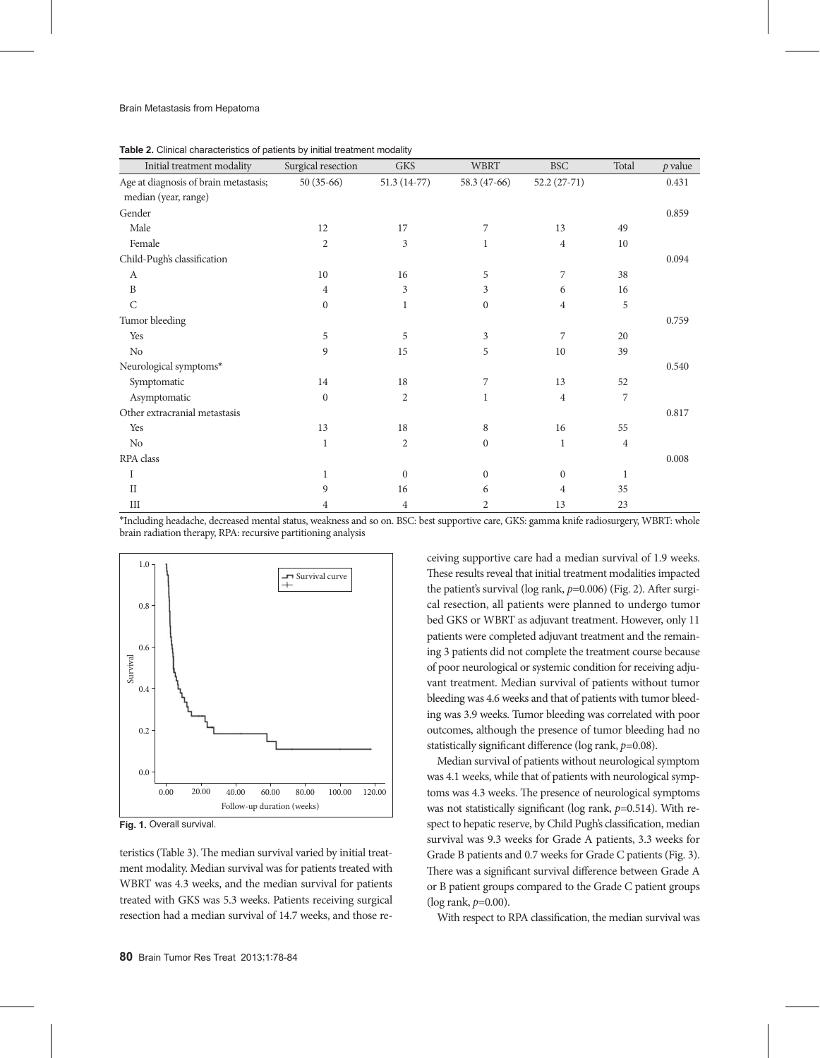#### Brain Metastasis from Hepatoma

|  | Table 2. Clinical characteristics of patients by initial treatment modality |  |  |  |
|--|-----------------------------------------------------------------------------|--|--|--|
|--|-----------------------------------------------------------------------------|--|--|--|

| Initial treatment modality            | Surgical resection | <b>GKS</b>     | <b>WBRT</b>  | <b>BSC</b>     | Total          | $p$ value |
|---------------------------------------|--------------------|----------------|--------------|----------------|----------------|-----------|
| Age at diagnosis of brain metastasis; | $50(35-66)$        | 51.3 (14-77)   | 58.3 (47-66) | 52.2 (27-71)   |                | 0.431     |
| median (year, range)                  |                    |                |              |                |                |           |
| Gender                                |                    |                |              |                |                | 0.859     |
| Male                                  | 12                 | 17             | 7            | 13             | 49             |           |
| Female                                | 2                  | 3              | $\mathbf{1}$ | $\overline{4}$ | 10             |           |
| Child-Pugh's classification           |                    |                |              |                |                | 0.094     |
| A                                     | 10                 | 16             | 5            | 7              | 38             |           |
| B                                     | 4                  | 3              | 3            | 6              | 16             |           |
| $\mathsf{C}$                          | $\mathbf{0}$       | 1              | $\mathbf{0}$ | $\overline{4}$ | 5              |           |
| Tumor bleeding                        |                    |                |              |                |                | 0.759     |
| Yes                                   | 5                  | 5              | 3            | 7              | 20             |           |
| N <sub>o</sub>                        | 9                  | 15             | 5            | 10             | 39             |           |
| Neurological symptoms*                |                    |                |              |                |                | 0.540     |
| Symptomatic                           | 14                 | 18             | 7            | 13             | 52             |           |
| Asymptomatic                          | $\Omega$           | $\overline{2}$ | $\mathbf{1}$ | $\overline{4}$ | 7              |           |
| Other extracranial metastasis         |                    |                |              |                |                | 0.817     |
| Yes                                   | 13                 | 18             | 8            | 16             | 55             |           |
| $\rm No$                              | 1                  | $\overline{2}$ | $\mathbf{0}$ | $\mathbf{1}$   | $\overline{4}$ |           |
| RPA class                             |                    |                |              |                |                | 0.008     |
| I                                     | 1                  | $\mathbf{0}$   | $\mathbf{0}$ | $\mathbf{0}$   | 1              |           |
| $\rm II$                              | 9                  | 16             | 6            | 4              | 35             |           |
| $\rm III$                             | 4                  | 4              | 2            | 13             | 23             |           |

\*Including headache, decreased mental status, weakness and so on. BSC: best supportive care, GKS: gamma knife radiosurgery, WBRT: whole brain radiation therapy, RPA: recursive partitioning analysis



**Fig. 1.** Overall survival.

teristics (Table 3). The median survival varied by initial treatment modality. Median survival was for patients treated with WBRT was 4.3 weeks, and the median survival for patients treated with GKS was 5.3 weeks. Patients receiving surgical resection had a median survival of 14.7 weeks, and those receiving supportive care had a median survival of 1.9 weeks. These results reveal that initial treatment modalities impacted the patient's survival (log rank,  $p=0.006$ ) (Fig. 2). After surgical resection, all patients were planned to undergo tumor bed GKS or WBRT as adjuvant treatment. However, only 11 patients were completed adjuvant treatment and the remaining 3 patients did not complete the treatment course because of poor neurological or systemic condition for receiving adjuvant treatment. Median survival of patients without tumor bleeding was 4.6 weeks and that of patients with tumor bleeding was 3.9 weeks. Tumor bleeding was correlated with poor outcomes, although the presence of tumor bleeding had no statistically significant difference (log rank, *p*=0.08).

Median survival of patients without neurological symptom was 4.1 weeks, while that of patients with neurological symptoms was 4.3 weeks. The presence of neurological symptoms was not statistically significant (log rank,  $p=0.514$ ). With respect to hepatic reserve, by Child Pugh's classification, median survival was 9.3 weeks for Grade A patients, 3.3 weeks for Grade B patients and 0.7 weeks for Grade C patients (Fig. 3). There was a significant survival difference between Grade A or B patient groups compared to the Grade C patient groups (log rank, *p*=0.00).

With respect to RPA classification, the median survival was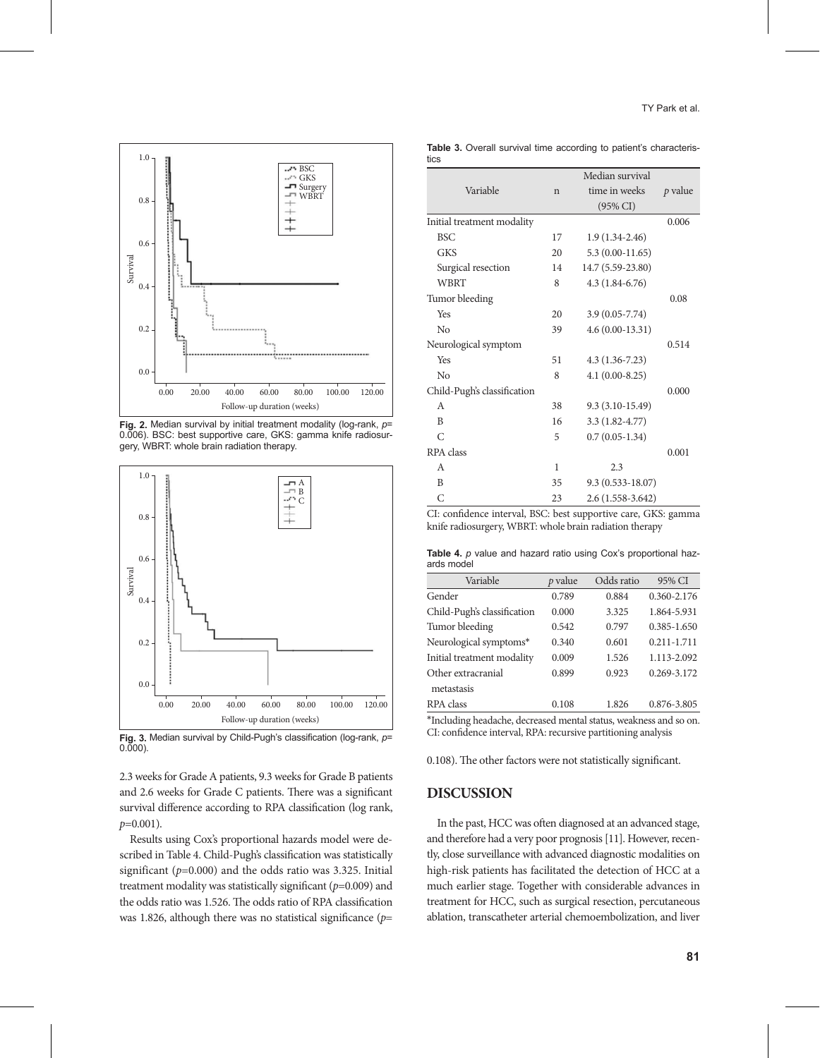

**Fig. 2.** Median survival by initial treatment modality (log-rank, *p*= 0.006). BSC: best supportive care, GKS: gamma knife radiosurgery, WBRT: whole brain radiation therapy.



**Fig. 3.** Median survival by Child-Pugh's classification (log-rank, *p*=  $0.\overline{0}00$ ).

2.3 weeks for Grade A patients, 9.3 weeks for Grade B patients and 2.6 weeks for Grade C patients. There was a significant survival difference according to RPA classification (log rank, *p*=0.001).

Results using Cox's proportional hazards model were described in Table 4. Child-Pugh's classification was statistically significant (*p*=0.000) and the odds ratio was 3.325. Initial treatment modality was statistically significant (*p*=0.009) and the odds ratio was 1.526. The odds ratio of RPA classification was 1.826, although there was no statistical significance (*p*=

| <b>Table 3.</b> Overall survival time according to patient's characteris- |  |  |  |
|---------------------------------------------------------------------------|--|--|--|
| tics                                                                      |  |  |  |

|                             |              | Median survival      |           |
|-----------------------------|--------------|----------------------|-----------|
| Variable                    | $\mathsf{n}$ | time in weeks        | $p$ value |
|                             |              | $(95\% \text{ CI})$  |           |
| Initial treatment modality  |              |                      | 0.006     |
| <b>BSC</b>                  | 17           | $1.9(1.34-2.46)$     |           |
| <b>GKS</b>                  | 20           | $5.3(0.00-11.65)$    |           |
| Surgical resection          | 14           | 14.7 (5.59-23.80)    |           |
| <b>WBRT</b>                 | 8            | $4.3(1.84-6.76)$     |           |
| Tumor bleeding              |              |                      | 0.08      |
| Yes                         | 20           | $3.9(0.05 - 7.74)$   |           |
| No                          | 39           | $4.6(0.00-13.31)$    |           |
| Neurological symptom        |              |                      | 0.514     |
| Yes                         | 51           | $4.3(1.36-7.23)$     |           |
| No                          | 8            | $4.1(0.00-8.25)$     |           |
| Child-Pugh's classification |              |                      | 0.000     |
| A                           | 38           | $9.3(3.10-15.49)$    |           |
| B                           | 16           | $3.3(1.82 - 4.77)$   |           |
| C                           | 5            | $0.7(0.05-1.34)$     |           |
| RPA class                   |              |                      | 0.001     |
| A                           | 1            | 2.3                  |           |
| B                           | 35           | $9.3(0.533 - 18.07)$ |           |
| C                           | 23           | 2.6 (1.558-3.642)    |           |

CI: confidence interval, BSC: best supportive care, GKS: gamma knife radiosurgery, WBRT: whole brain radiation therapy

Table 4. *p* value and hazard ratio using Cox's proportional hazards model

| Variable                         | p value | Odds ratio | 95% CI          |
|----------------------------------|---------|------------|-----------------|
| Gender                           | 0.789   | 0.884      | 0.360-2.176     |
| Child-Pugh's classification      | 0.000   | 3.325      | 1.864-5.931     |
| Tumor bleeding                   | 0.542   | 0.797      | 0.385-1.650     |
| Neurological symptoms*           | 0.340   | 0.601      | $0.211 - 1.711$ |
| Initial treatment modality       | 0.009   | 1.526      | 1.113-2.092     |
| Other extracranial<br>metastasis | 0.899   | 0.923      | 0.269-3.172     |
| RPA class                        | 0.108   | 1.826      | 0.876-3.805     |

\*Including headache, decreased mental status, weakness and so on. CI: confidence interval, RPA: recursive partitioning analysis

0.108). The other factors were not statistically significant.

## **DISCUSSION**

In the past, HCC was often diagnosed at an advanced stage, and therefore had a very poor prognosis [11]. However, recently, close surveillance with advanced diagnostic modalities on high-risk patients has facilitated the detection of HCC at a much earlier stage. Together with considerable advances in treatment for HCC, such as surgical resection, percutaneous ablation, transcatheter arterial chemoembolization, and liver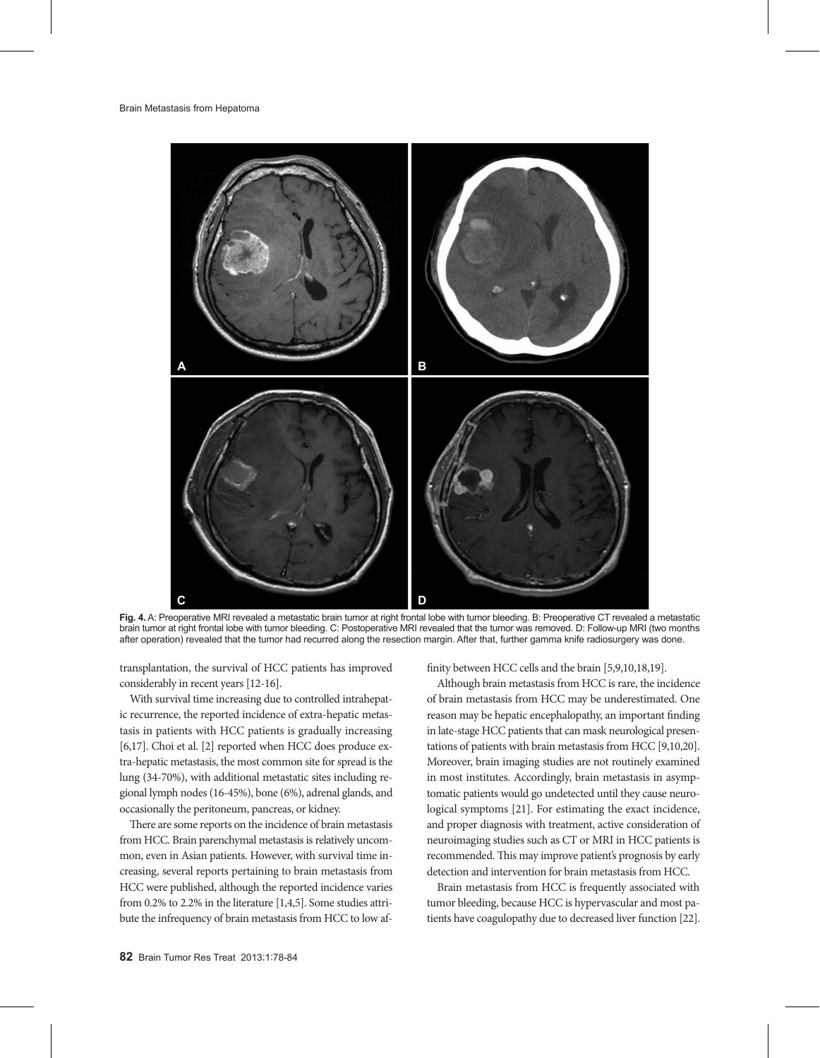

**Fig. 4.** A: Preoperative MRI revealed a metastatic brain tumor at right frontal lobe with tumor bleeding. B: Preoperative CT revealed a metastatic brain tumor at right frontal lobe with tumor bleeding. C: Postoperative MRI revealed that the tumor was removed. D: Follow-up MRI (two months after operation) revealed that the tumor had recurred along the resection margin. After that, further gamma knife radiosurgery was done.

transplantation, the survival of HCC patients has improved considerably in recent years [12-16].

With survival time increasing due to controlled intrahepatic recurrence, the reported incidence of extra-hepatic metastasis in patients with HCC patients is gradually increasing [6,17]. Choi et al. [2] reported when HCC does produce extra-hepatic metastasis, the most common site for spread is the lung (34-70%), with additional metastatic sites including regional lymph nodes (16-45%), bone (6%), adrenal glands, and occasionally the peritoneum, pancreas, or kidney.

There are some reports on the incidence of brain metastasis from HCC. Brain parenchymal metastasis is relatively uncommon, even in Asian patients. However, with survival time increasing, several reports pertaining to brain metastasis from HCC were published, although the reported incidence varies from 0.2% to 2.2% in the literature [1,4,5]. Some studies attribute the infrequency of brain metastasis from HCC to low affinity between HCC cells and the brain [5,9,10,18,19].

Although brain metastasis from HCC is rare, the incidence of brain metastasis from HCC may be underestimated. One reason may be hepatic encephalopathy, an important finding in late-stage HCC patients that can mask neurological presentations of patients with brain metastasis from HCC [9,10,20]. Moreover, brain imaging studies are not routinely examined in most institutes. Accordingly, brain metastasis in asymptomatic patients would go undetected until they cause neurological symptoms [21]. For estimating the exact incidence, and proper diagnosis with treatment, active consideration of neuroimaging studies such as CT or MRI in HCC patients is recommended. This may improve patient's prognosis by early detection and intervention for brain metastasis from HCC.

Brain metastasis from HCC is frequently associated with tumor bleeding, because HCC is hypervascular and most patients have coagulopathy due to decreased liver function [22].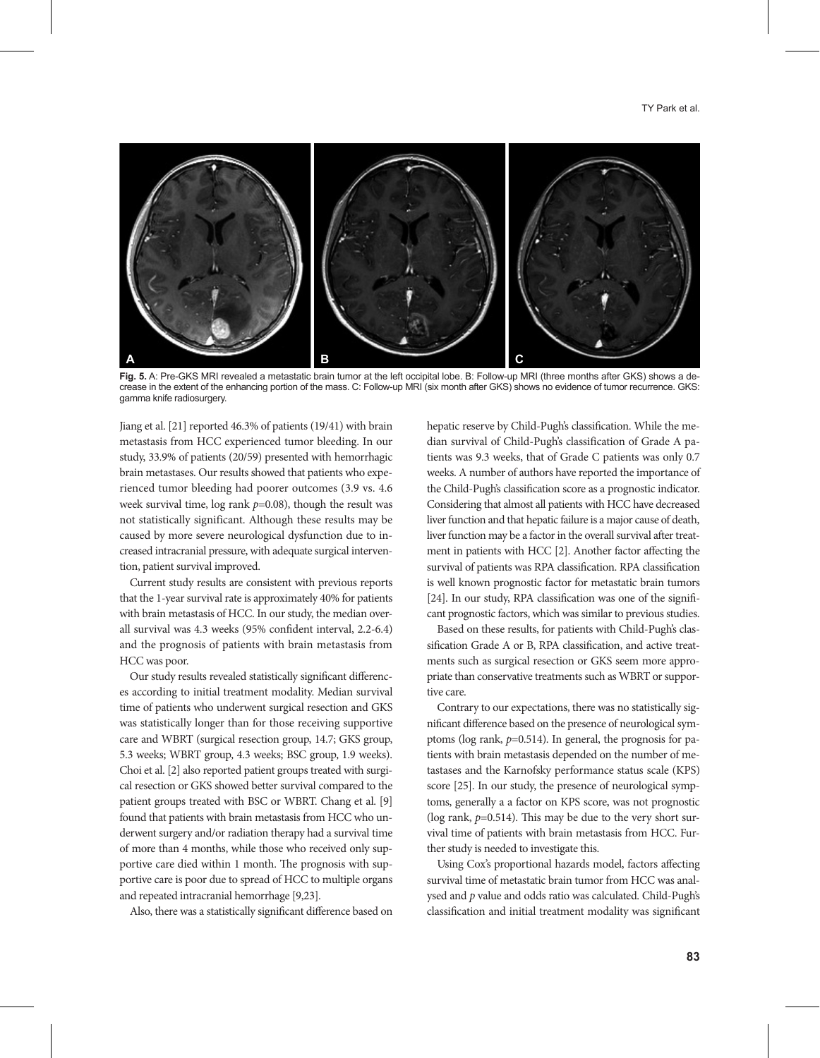

**Fig. 5.** A: Pre-GKS MRI revealed a metastatic brain tumor at the left occipital lobe. B: Follow-up MRI (three months after GKS) shows a decrease in the extent of the enhancing portion of the mass. C: Follow-up MRI (six month after GKS) shows no evidence of tumor recurrence. GKS: gamma knife radiosurgery.

Jiang et al. [21] reported 46.3% of patients (19/41) with brain metastasis from HCC experienced tumor bleeding. In our study, 33.9% of patients (20/59) presented with hemorrhagic brain metastases. Our results showed that patients who experienced tumor bleeding had poorer outcomes (3.9 vs. 4.6 week survival time, log rank *p*=0.08), though the result was not statistically significant. Although these results may be caused by more severe neurological dysfunction due to increased intracranial pressure, with adequate surgical intervention, patient survival improved.

Current study results are consistent with previous reports that the 1-year survival rate is approximately 40% for patients with brain metastasis of HCC. In our study, the median overall survival was 4.3 weeks (95% confident interval, 2.2-6.4) and the prognosis of patients with brain metastasis from HCC was poor.

Our study results revealed statistically significant differences according to initial treatment modality. Median survival time of patients who underwent surgical resection and GKS was statistically longer than for those receiving supportive care and WBRT (surgical resection group, 14.7; GKS group, 5.3 weeks; WBRT group, 4.3 weeks; BSC group, 1.9 weeks). Choi et al. [2] also reported patient groups treated with surgical resection or GKS showed better survival compared to the patient groups treated with BSC or WBRT. Chang et al. [9] found that patients with brain metastasis from HCC who underwent surgery and/or radiation therapy had a survival time of more than 4 months, while those who received only supportive care died within 1 month. The prognosis with supportive care is poor due to spread of HCC to multiple organs and repeated intracranial hemorrhage [9,23].

Also, there was a statistically significant difference based on

hepatic reserve by Child-Pugh's classification. While the median survival of Child-Pugh's classification of Grade A patients was 9.3 weeks, that of Grade C patients was only 0.7 weeks. A number of authors have reported the importance of the Child-Pugh's classification score as a prognostic indicator. Considering that almost all patients with HCC have decreased liver function and that hepatic failure is a major cause of death, liver function may be a factor in the overall survival after treatment in patients with HCC [2]. Another factor affecting the survival of patients was RPA classification. RPA classification is well known prognostic factor for metastatic brain tumors [24]. In our study, RPA classification was one of the significant prognostic factors, which was similar to previous studies.

Based on these results, for patients with Child-Pugh's classification Grade A or B, RPA classification, and active treatments such as surgical resection or GKS seem more appropriate than conservative treatments such as WBRT or supportive care.

Contrary to our expectations, there was no statistically significant difference based on the presence of neurological symptoms (log rank, *p*=0.514). In general, the prognosis for patients with brain metastasis depended on the number of metastases and the Karnofsky performance status scale (KPS) score [25]. In our study, the presence of neurological symptoms, generally a a factor on KPS score, was not prognostic (log rank, *p*=0.514). This may be due to the very short survival time of patients with brain metastasis from HCC. Further study is needed to investigate this.

Using Cox's proportional hazards model, factors affecting survival time of metastatic brain tumor from HCC was analysed and *p* value and odds ratio was calculated. Child-Pugh's classification and initial treatment modality was significant